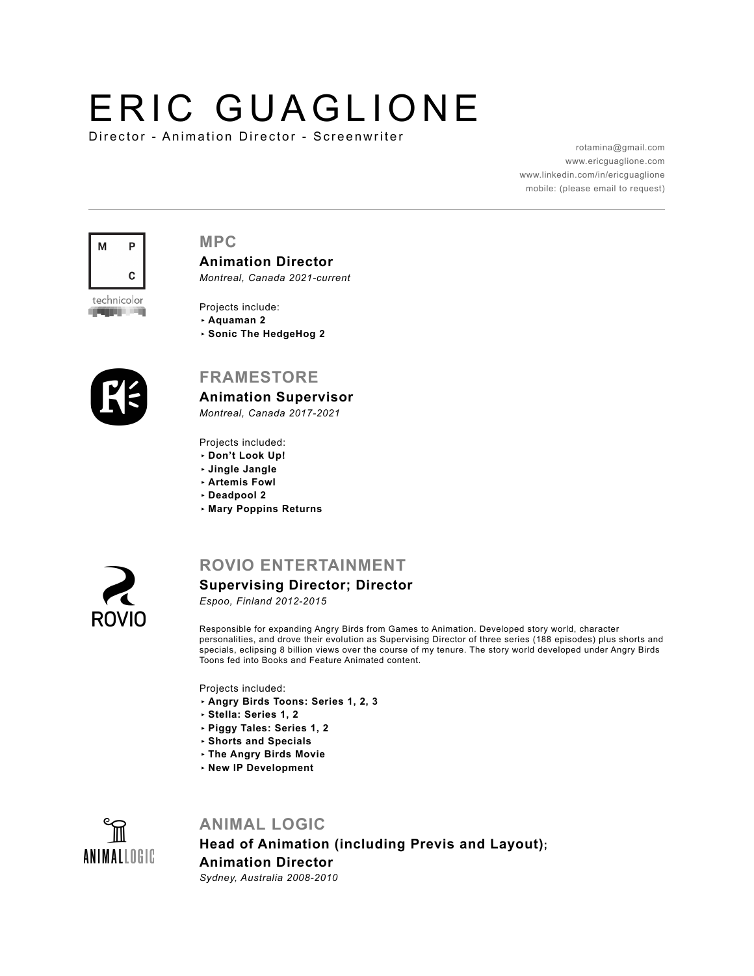# ERIC GUAGLIONE

Director - Animation Director - Screenwriter

[rotamina@gmail.com](mailto:rotamina@gmail.com) [www.ericguaglione.com](http://www.ericguaglione.com) [www.linkedin.com/in/ericguaglione](https://www.linkedin.com/in/ericguaglione) mobile: (please email to request)



## **MPC**

**Animation Director** *Montreal, Canada 2021-current*

technicolor ودير وبروي

- Projects include: **‣ Aquaman 2**
- **‣ Sonic The HedgeHog 2**



# **FRAMESTORE**

**Animation Supervisor**

*Montreal, Canada 2017-2021*

Projects included:

- **‣ Don't Look Up!**
- **‣ Jingle Jangle**
- **‣ Artemis Fowl**
- **‣ Deadpool 2**
- **‣ Mary Poppins Returns**



# **ROVIO ENTERTAINMENT**

# **Supervising Director; Director**

*Espoo, Finland 2012-2015*

Responsible for expanding Angry Birds from Games to Animation. Developed story world, character personalities, and drove their evolution as Supervising Director of three series (188 episodes) plus shorts and specials, eclipsing 8 billion views over the course of my tenure. The story world developed under Angry Birds Toons fed into Books and Feature Animated content.

Projects included:

- **‣ Angry Birds Toons: Series 1, 2, 3**
- **‣ Stella: Series 1, 2**
- **‣ Piggy Tales: Series 1, 2**
- **‣ Shorts and Specials**
- **‣ The Angry Birds Movie**
- **‣ New IP Development**



# **ANIMAL LOGIC**

**Head of Animation (including Previs and Layout); Animation Director** *Sydney, Australia 2008-2010*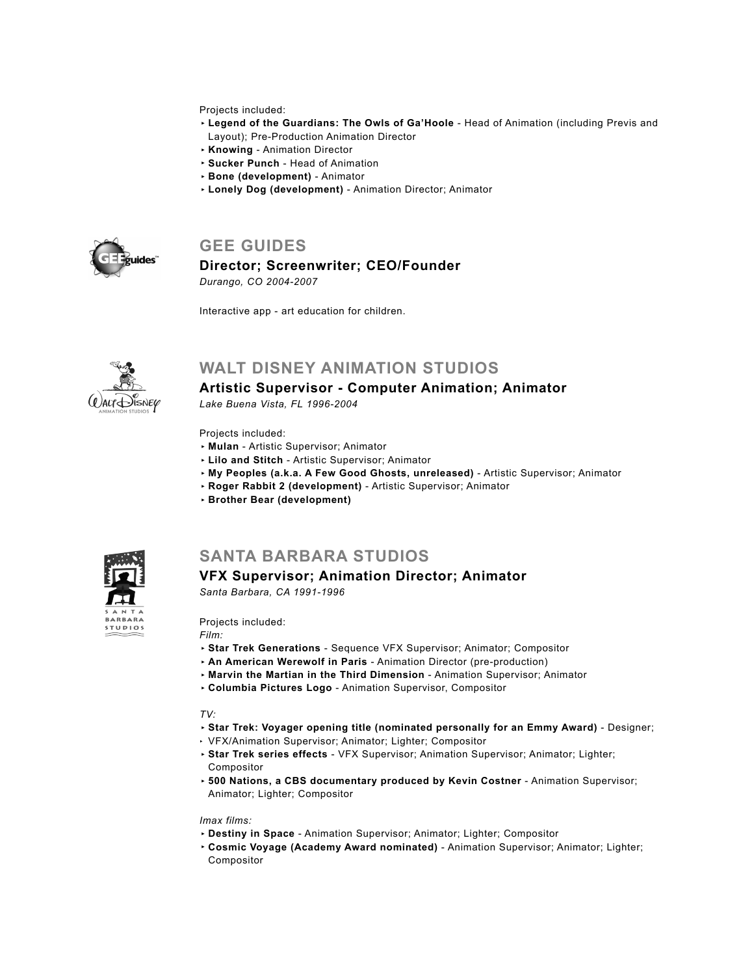#### Projects included:

- **‣ Legend of the Guardians: The Owls of Ga'Hoole**  Head of Animation (including Previs and Layout); Pre-Production Animation Director
- **‣ Knowing** Animation Director
- **‣ Sucker Punch**  Head of Animation
- **‣ Bone (development)**  Animator
- **‣ Lonely Dog (development)**  Animation Director; Animator



# **GEE GUIDES**

## **Director; Screenwriter; CEO/Founder**

*Durango, CO 2004-2007*

Interactive app - art education for children.



# **WALT DISNEY ANIMATION STUDIOS**

## **Artistic Supervisor - Computer Animation; Animator**

*Lake Buena Vista, FL 1996-2004*

#### Projects included:

- **‣ Mulan** Artistic Supervisor; Animator
- **‣ Lilo and Stitch**  Artistic Supervisor; Animator
- **‣ My Peoples (a.k.a. A Few Good Ghosts, unreleased)** Artistic Supervisor; Animator
- **‣ Roger Rabbit 2 (development)**  Artistic Supervisor; Animator
- **‣ Brother Bear (development)**



# **SANTA BARBARA STUDIOS**

#### **VFX Supervisor; Animation Director; Animator**

*Santa Barbara, CA 1991-1996*

Projects included:

*Film:* 

- **‣ Star Trek Generations** Sequence VFX Supervisor; Animator; Compositor
- **‣ An American Werewolf in Paris** Animation Director (pre-production)
- **‣ Marvin the Martian in the Third Dimension** Animation Supervisor; Animator
- **‣ Columbia Pictures Logo** Animation Supervisor, Compositor

#### *TV:*

- **‣ Star Trek: Voyager opening title (nominated personally for an Emmy Award)**  Designer;
- ‣ VFX/Animation Supervisor; Animator; Lighter; Compositor
- **‣ Star Trek series effects** VFX Supervisor; Animation Supervisor; Animator; Lighter; Compositor
- **‣ 500 Nations, a CBS documentary produced by Kevin Costner** Animation Supervisor; Animator; Lighter; Compositor

#### *Imax films:*

- **‣ Destiny in Space** Animation Supervisor; Animator; Lighter; Compositor
- **‣ Cosmic Voyage (Academy Award nominated)** Animation Supervisor; Animator; Lighter; Compositor